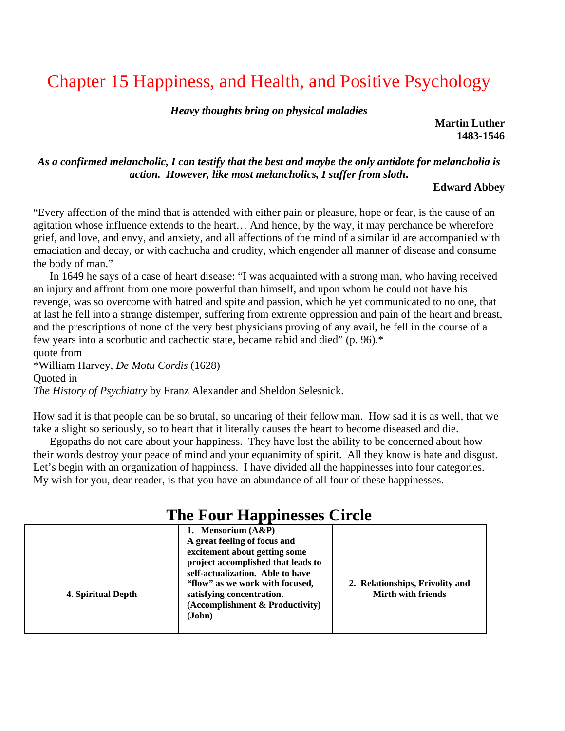# Chapter 15 Happiness, and Health, and Positive Psychology

*Heavy thoughts bring on physical maladies* 

**Martin Luther 1483-1546** 

## *As a confirmed melancholic, I can testify that the best and maybe the only antidote for melancholia is action. However, like most melancholics, I suffer from sloth***.**

## **Edward Abbey**

"Every affection of the mind that is attended with either pain or pleasure, hope or fear, is the cause of an agitation whose influence extends to the heart… And hence, by the way, it may perchance be wherefore grief, and love, and envy, and anxiety, and all affections of the mind of a similar id are accompanied with emaciation and decay, or with cachucha and crudity, which engender all manner of disease and consume the body of man."

 In 1649 he says of a case of heart disease: "I was acquainted with a strong man, who having received an injury and affront from one more powerful than himself, and upon whom he could not have his revenge, was so overcome with hatred and spite and passion, which he yet communicated to no one, that at last he fell into a strange distemper, suffering from extreme oppression and pain of the heart and breast, and the prescriptions of none of the very best physicians proving of any avail, he fell in the course of a few years into a scorbutic and cachectic state, became rabid and died" (p. 96).\*

quote from \*William Harvey, *De Motu Cordis* (1628) Quoted in *The History of Psychiatry* by Franz Alexander and Sheldon Selesnick.

How sad it is that people can be so brutal, so uncaring of their fellow man. How sad it is as well, that we take a slight so seriously, so to heart that it literally causes the heart to become diseased and die.

 Egopaths do not care about your happiness. They have lost the ability to be concerned about how their words destroy your peace of mind and your equanimity of spirit. All they know is hate and disgust. Let's begin with an organization of happiness. I have divided all the happinesses into four categories. My wish for you, dear reader, is that you have an abundance of all four of these happinesses.

| The Four Happinesses Circle |                                                                                                                                                                                                                                                                               |                                                              |  |
|-----------------------------|-------------------------------------------------------------------------------------------------------------------------------------------------------------------------------------------------------------------------------------------------------------------------------|--------------------------------------------------------------|--|
| 4. Spiritual Depth          | 1. Mensorium $(A\&P)$<br>A great feeling of focus and<br>excitement about getting some<br>project accomplished that leads to<br>self-actualization. Able to have<br>"flow" as we work with focused,<br>satisfying concentration.<br>(Accomplishment & Productivity)<br>(John) | 2. Relationships, Frivolity and<br><b>Mirth with friends</b> |  |

## **The Four Happinesses Circle**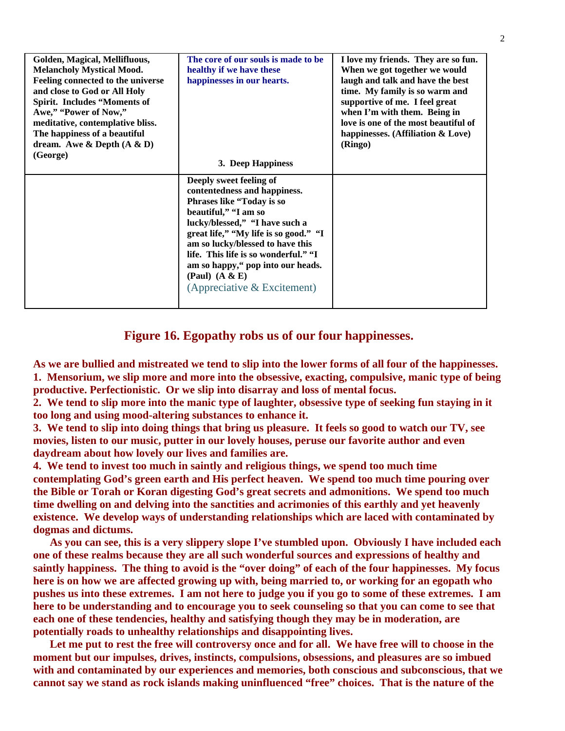| Golden, Magical, Mellifluous,     | The core of our souls is made to be   | I love my friends. They are so fun.  |
|-----------------------------------|---------------------------------------|--------------------------------------|
| <b>Melancholy Mystical Mood.</b>  | healthy if we have these              | When we got together we would        |
| Feeling connected to the universe | happinesses in our hearts.            | laugh and talk and have the best     |
| and close to God or All Holy      |                                       | time. My family is so warm and       |
| Spirit. Includes "Moments of      |                                       | supportive of me. I feel great       |
| Awe," "Power of Now,"             |                                       | when I'm with them. Being in         |
| meditative, contemplative bliss.  |                                       | love is one of the most beautiful of |
| The happiness of a beautiful      |                                       | happinesses. (Affiliation & Love)    |
| dream. Awe & Depth $(A \& D)$     |                                       | (Ringo)                              |
| (George)                          |                                       |                                      |
|                                   | 3. Deep Happiness                     |                                      |
|                                   | Deeply sweet feeling of               |                                      |
|                                   | contentedness and happiness.          |                                      |
|                                   | Phrases like "Today is so             |                                      |
|                                   | beautiful," "I am so                  |                                      |
|                                   | lucky/blessed," "I have such a        |                                      |
|                                   | great life," "My life is so good." "I |                                      |
|                                   | am so lucky/blessed to have this      |                                      |
|                                   | life. This life is so wonderful." "I  |                                      |
|                                   | am so happy," pop into our heads.     |                                      |
|                                   | (Paul) $(A & E)$                      |                                      |
|                                   | (Appreciative & Excitement)           |                                      |
|                                   |                                       |                                      |
|                                   |                                       |                                      |

## **Figure 16. Egopathy robs us of our four happinesses.**

**As we are bullied and mistreated we tend to slip into the lower forms of all four of the happinesses. 1. Mensorium, we slip more and more into the obsessive, exacting, compulsive, manic type of being productive. Perfectionistic. Or we slip into disarray and loss of mental focus.** 

**2. We tend to slip more into the manic type of laughter, obsessive type of seeking fun staying in it too long and using mood-altering substances to enhance it.** 

**3. We tend to slip into doing things that bring us pleasure. It feels so good to watch our TV, see movies, listen to our music, putter in our lovely houses, peruse our favorite author and even daydream about how lovely our lives and families are.** 

**4. We tend to invest too much in saintly and religious things, we spend too much time contemplating God's green earth and His perfect heaven. We spend too much time pouring over the Bible or Torah or Koran digesting God's great secrets and admonitions. We spend too much time dwelling on and delving into the sanctities and acrimonies of this earthly and yet heavenly existence. We develop ways of understanding relationships which are laced with contaminated by dogmas and dictums.** 

 **As you can see, this is a very slippery slope I've stumbled upon. Obviously I have included each one of these realms because they are all such wonderful sources and expressions of healthy and saintly happiness. The thing to avoid is the "over doing" of each of the four happinesses. My focus here is on how we are affected growing up with, being married to, or working for an egopath who pushes us into these extremes. I am not here to judge you if you go to some of these extremes. I am here to be understanding and to encourage you to seek counseling so that you can come to see that each one of these tendencies, healthy and satisfying though they may be in moderation, are potentially roads to unhealthy relationships and disappointing lives.** 

Let me put to rest the free will controversy once and for all. We have free will to choose in the **moment but our impulses, drives, instincts, compulsions, obsessions, and pleasures are so imbued with and contaminated by our experiences and memories, both conscious and subconscious, that we cannot say we stand as rock islands making uninfluenced "free" choices. That is the nature of the**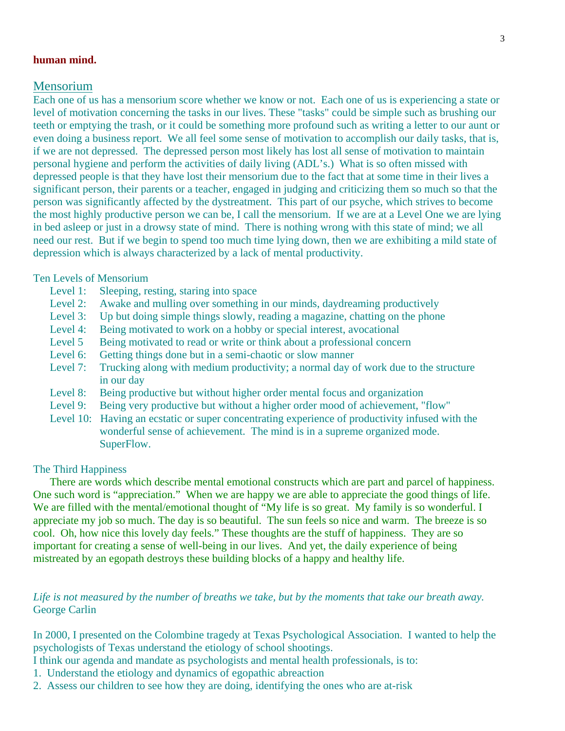## **human mind.**

## Mensorium

Each one of us has a mensorium score whether we know or not. Each one of us is experiencing a state or level of motivation concerning the tasks in our lives. These "tasks" could be simple such as brushing our teeth or emptying the trash, or it could be something more profound such as writing a letter to our aunt or even doing a business report. We all feel some sense of motivation to accomplish our daily tasks, that is, if we are not depressed. The depressed person most likely has lost all sense of motivation to maintain personal hygiene and perform the activities of daily living (ADL's.) What is so often missed with depressed people is that they have lost their mensorium due to the fact that at some time in their lives a significant person, their parents or a teacher, engaged in judging and criticizing them so much so that the person was significantly affected by the dystreatment. This part of our psyche, which strives to become the most highly productive person we can be, I call the mensorium. If we are at a Level One we are lying in bed asleep or just in a drowsy state of mind. There is nothing wrong with this state of mind; we all need our rest. But if we begin to spend too much time lying down, then we are exhibiting a mild state of depression which is always characterized by a lack of mental productivity.

#### Ten Levels of Mensorium

- Level 1: Sleeping, resting, staring into space
- Level 2: Awake and mulling over something in our minds, daydreaming productively
- Level 3: Up but doing simple things slowly, reading a magazine, chatting on the phone
- Level 4: Being motivated to work on a hobby or special interest, avocational
- Level 5 Being motivated to read or write or think about a professional concern
- Level 6: Getting things done but in a semi-chaotic or slow manner
- Level 7: Trucking along with medium productivity; a normal day of work due to the structure in our day
- Level 8: Being productive but without higher order mental focus and organization
- Level 9: Being very productive but without a higher order mood of achievement, "flow"
- Level 10: Having an ecstatic or super concentrating experience of productivity infused with the wonderful sense of achievement. The mind is in a supreme organized mode. SuperFlow.

#### The Third Happiness

There are words which describe mental emotional constructs which are part and parcel of happiness. One such word is "appreciation." When we are happy we are able to appreciate the good things of life. We are filled with the mental/emotional thought of "My life is so great. My family is so wonderful. I appreciate my job so much. The day is so beautiful. The sun feels so nice and warm. The breeze is so cool. Oh, how nice this lovely day feels." These thoughts are the stuff of happiness. They are so important for creating a sense of well-being in our lives. And yet, the daily experience of being mistreated by an egopath destroys these building blocks of a happy and healthy life.

## *Life is not measured by the number of breaths we take, but by the moments that take our breath away.*  George Carlin

In 2000, I presented on the Colombine tragedy at Texas Psychological Association. I wanted to help the psychologists of Texas understand the etiology of school shootings.

I think our agenda and mandate as psychologists and mental health professionals, is to:

- 1. Understand the etiology and dynamics of egopathic abreaction
- 2. Assess our children to see how they are doing, identifying the ones who are at-risk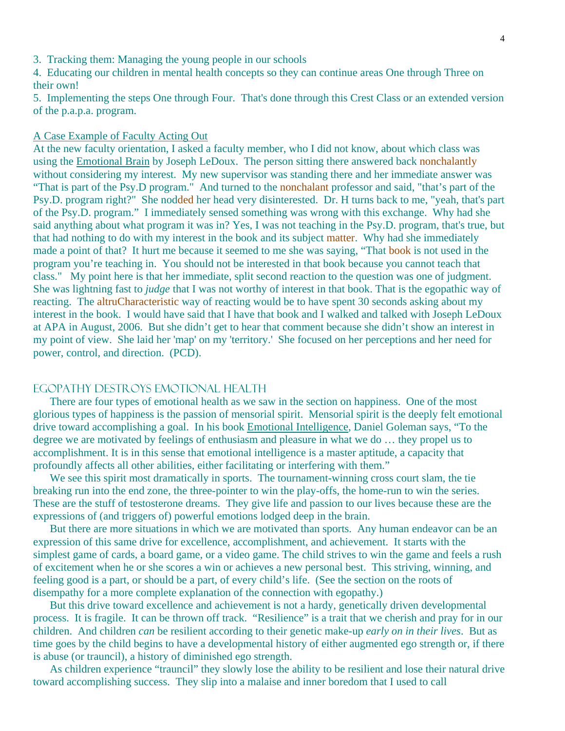- 3. Tracking them: Managing the young people in our schools
- 4. Educating our children in mental health concepts so they can continue areas One through Three on their own!
- 5. Implementing the steps One through Four. That's done through this Crest Class or an extended version of the p.a.p.a. program.

#### A Case Example of Faculty Acting Out

At the new faculty orientation, I asked a faculty member, who I did not know, about which class was using the Emotional Brain by Joseph LeDoux. The person sitting there answered back nonchalantly without considering my interest. My new supervisor was standing there and her immediate answer was "That is part of the Psy.D program." And turned to the nonchalant professor and said, "that's part of the Psy.D. program right?" She nodded her head very disinterested. Dr. H turns back to me, "yeah, that's part of the Psy.D. program." I immediately sensed something was wrong with this exchange. Why had she said anything about what program it was in? Yes, I was not teaching in the Psy.D. program, that's true, but that had nothing to do with my interest in the book and its subject matter. Why had she immediately made a point of that? It hurt me because it seemed to me she was saying, "That book is not used in the program you're teaching in. You should not be interested in that book because you cannot teach that class." My point here is that her immediate, split second reaction to the question was one of judgment. She was lightning fast to *judge* that I was not worthy of interest in that book. That is the egopathic way of reacting. The altruCharacteristic way of reacting would be to have spent 30 seconds asking about my interest in the book. I would have said that I have that book and I walked and talked with Joseph LeDoux at APA in August, 2006. But she didn't get to hear that comment because she didn't show an interest in my point of view. She laid her 'map' on my 'territory.' She focused on her perceptions and her need for power, control, and direction. (PCD).

### Egopathy Destroys Emotional Health

 There are four types of emotional health as we saw in the section on happiness. One of the most glorious types of happiness is the passion of mensorial spirit. Mensorial spirit is the deeply felt emotional drive toward accomplishing a goal. In his book Emotional Intelligence, Daniel Goleman says, "To the degree we are motivated by feelings of enthusiasm and pleasure in what we do … they propel us to accomplishment. It is in this sense that emotional intelligence is a master aptitude, a capacity that profoundly affects all other abilities, either facilitating or interfering with them."

We see this spirit most dramatically in sports. The tournament-winning cross court slam, the tie breaking run into the end zone, the three-pointer to win the play-offs, the home-run to win the series. These are the stuff of testosterone dreams. They give life and passion to our lives because these are the expressions of (and triggers of) powerful emotions lodged deep in the brain.

 But there are more situations in which we are motivated than sports. Any human endeavor can be an expression of this same drive for excellence, accomplishment, and achievement. It starts with the simplest game of cards, a board game, or a video game. The child strives to win the game and feels a rush of excitement when he or she scores a win or achieves a new personal best. This striving, winning, and feeling good is a part, or should be a part, of every child's life. (See the section on the roots of disempathy for a more complete explanation of the connection with egopathy.)

But this drive toward excellence and achievement is not a hardy, genetically driven developmental process. It is fragile. It can be thrown off track. "Resilience" is a trait that we cherish and pray for in our children. And children *can* be resilient according to their genetic make-up *early on in their lives*. But as time goes by the child begins to have a developmental history of either augmented ego strength or, if there is abuse (or trauncil), a history of diminished ego strength.

As children experience "trauncil" they slowly lose the ability to be resilient and lose their natural drive toward accomplishing success. They slip into a malaise and inner boredom that I used to call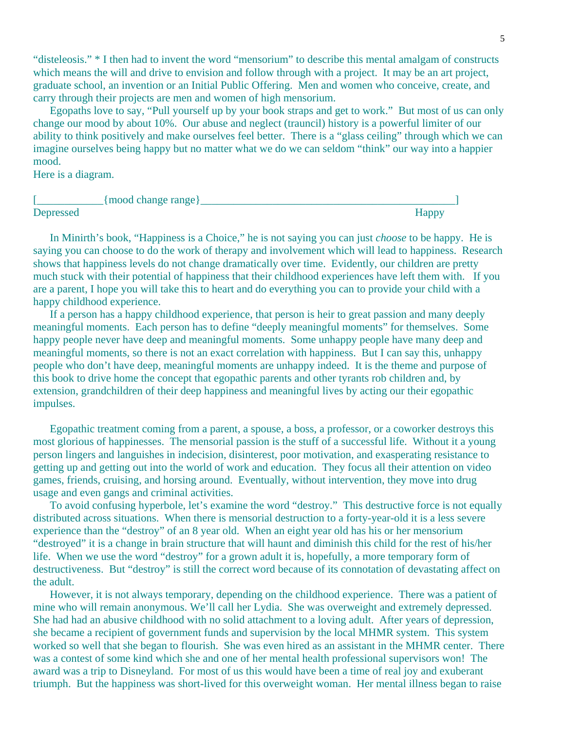"disteleosis." \* I then had to invent the word "mensorium" to describe this mental amalgam of constructs which means the will and drive to envision and follow through with a project. It may be an art project, graduate school, an invention or an Initial Public Offering. Men and women who conceive, create, and carry through their projects are men and women of high mensorium.

 Egopaths love to say, "Pull yourself up by your book straps and get to work." But most of us can only change our mood by about 10%. Our abuse and neglect (trauncil) history is a powerful limiter of our ability to think positively and make ourselves feel better. There is a "glass ceiling" through which we can imagine ourselves being happy but no matter what we do we can seldom "think" our way into a happier mood.

Here is a diagram.

|           | {mood change range} |              |
|-----------|---------------------|--------------|
| Depressed |                     | <b>Happy</b> |

 In Minirth's book, "Happiness is a Choice," he is not saying you can just *choose* to be happy. He is saying you can choose to do the work of therapy and involvement which will lead to happiness. Research shows that happiness levels do not change dramatically over time. Evidently, our children are pretty much stuck with their potential of happiness that their childhood experiences have left them with. If you are a parent, I hope you will take this to heart and do everything you can to provide your child with a happy childhood experience.

 If a person has a happy childhood experience, that person is heir to great passion and many deeply meaningful moments. Each person has to define "deeply meaningful moments" for themselves. Some happy people never have deep and meaningful moments. Some unhappy people have many deep and meaningful moments, so there is not an exact correlation with happiness. But I can say this, unhappy people who don't have deep, meaningful moments are unhappy indeed. It is the theme and purpose of this book to drive home the concept that egopathic parents and other tyrants rob children and, by extension, grandchildren of their deep happiness and meaningful lives by acting our their egopathic impulses.

Egopathic treatment coming from a parent, a spouse, a boss, a professor, or a coworker destroys this most glorious of happinesses. The mensorial passion is the stuff of a successful life. Without it a young person lingers and languishes in indecision, disinterest, poor motivation, and exasperating resistance to getting up and getting out into the world of work and education. They focus all their attention on video games, friends, cruising, and horsing around. Eventually, without intervention, they move into drug usage and even gangs and criminal activities.

 To avoid confusing hyperbole, let's examine the word "destroy." This destructive force is not equally distributed across situations. When there is mensorial destruction to a forty-year-old it is a less severe experience than the "destroy" of an 8 year old. When an eight year old has his or her mensorium "destroyed" it is a change in brain structure that will haunt and diminish this child for the rest of his/her life. When we use the word "destroy" for a grown adult it is, hopefully, a more temporary form of destructiveness. But "destroy" is still the correct word because of its connotation of devastating affect on the adult.

 However, it is not always temporary, depending on the childhood experience. There was a patient of mine who will remain anonymous. We'll call her Lydia. She was overweight and extremely depressed. She had had an abusive childhood with no solid attachment to a loving adult. After years of depression, she became a recipient of government funds and supervision by the local MHMR system. This system worked so well that she began to flourish. She was even hired as an assistant in the MHMR center. There was a contest of some kind which she and one of her mental health professional supervisors won! The award was a trip to Disneyland. For most of us this would have been a time of real joy and exuberant triumph. But the happiness was short-lived for this overweight woman. Her mental illness began to raise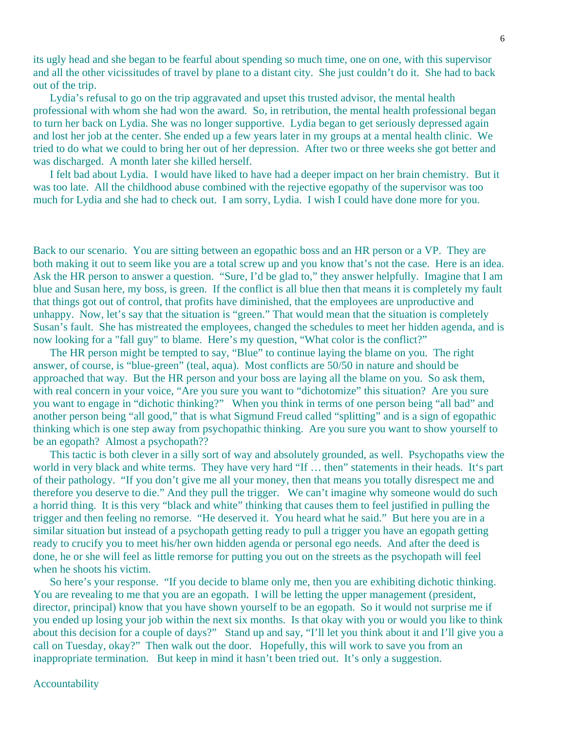its ugly head and she began to be fearful about spending so much time, one on one, with this supervisor and all the other vicissitudes of travel by plane to a distant city. She just couldn't do it. She had to back out of the trip.

 Lydia's refusal to go on the trip aggravated and upset this trusted advisor, the mental health professional with whom she had won the award. So, in retribution, the mental health professional began to turn her back on Lydia. She was no longer supportive. Lydia began to get seriously depressed again and lost her job at the center. She ended up a few years later in my groups at a mental health clinic. We tried to do what we could to bring her out of her depression. After two or three weeks she got better and was discharged. A month later she killed herself.

 I felt bad about Lydia. I would have liked to have had a deeper impact on her brain chemistry. But it was too late. All the childhood abuse combined with the rejective egopathy of the supervisor was too much for Lydia and she had to check out. I am sorry, Lydia. I wish I could have done more for you.

Back to our scenario. You are sitting between an egopathic boss and an HR person or a VP. They are both making it out to seem like you are a total screw up and you know that's not the case. Here is an idea. Ask the HR person to answer a question. "Sure, I'd be glad to," they answer helpfully. Imagine that I am blue and Susan here, my boss, is green. If the conflict is all blue then that means it is completely my fault that things got out of control, that profits have diminished, that the employees are unproductive and unhappy. Now, let's say that the situation is "green." That would mean that the situation is completely Susan's fault. She has mistreated the employees, changed the schedules to meet her hidden agenda, and is now looking for a "fall guy" to blame. Here's my question, "What color is the conflict?"

 The HR person might be tempted to say, "Blue" to continue laying the blame on you. The right answer, of course, is "blue-green" (teal, aqua). Most conflicts are 50/50 in nature and should be approached that way. But the HR person and your boss are laying all the blame on you. So ask them, with real concern in your voice, "Are you sure you want to "dichotomize" this situation? Are you sure you want to engage in "dichotic thinking?" When you think in terms of one person being "all bad" and another person being "all good," that is what Sigmund Freud called "splitting" and is a sign of egopathic thinking which is one step away from psychopathic thinking. Are you sure you want to show yourself to be an egopath? Almost a psychopath??

 This tactic is both clever in a silly sort of way and absolutely grounded, as well. Psychopaths view the world in very black and white terms. They have very hard "If ... then" statements in their heads. It's part of their pathology. "If you don't give me all your money, then that means you totally disrespect me and therefore you deserve to die." And they pull the trigger. We can't imagine why someone would do such a horrid thing. It is this very "black and white" thinking that causes them to feel justified in pulling the trigger and then feeling no remorse. "He deserved it. You heard what he said." But here you are in a similar situation but instead of a psychopath getting ready to pull a trigger you have an egopath getting ready to crucify you to meet his/her own hidden agenda or personal ego needs. And after the deed is done, he or she will feel as little remorse for putting you out on the streets as the psychopath will feel when he shoots his victim.

 So here's your response. "If you decide to blame only me, then you are exhibiting dichotic thinking. You are revealing to me that you are an egopath. I will be letting the upper management (president, director, principal) know that you have shown yourself to be an egopath. So it would not surprise me if you ended up losing your job within the next six months. Is that okay with you or would you like to think about this decision for a couple of days?" Stand up and say, "I'll let you think about it and I'll give you a call on Tuesday, okay?" Then walk out the door. Hopefully, this will work to save you from an inappropriate termination. But keep in mind it hasn't been tried out. It's only a suggestion.

#### Accountability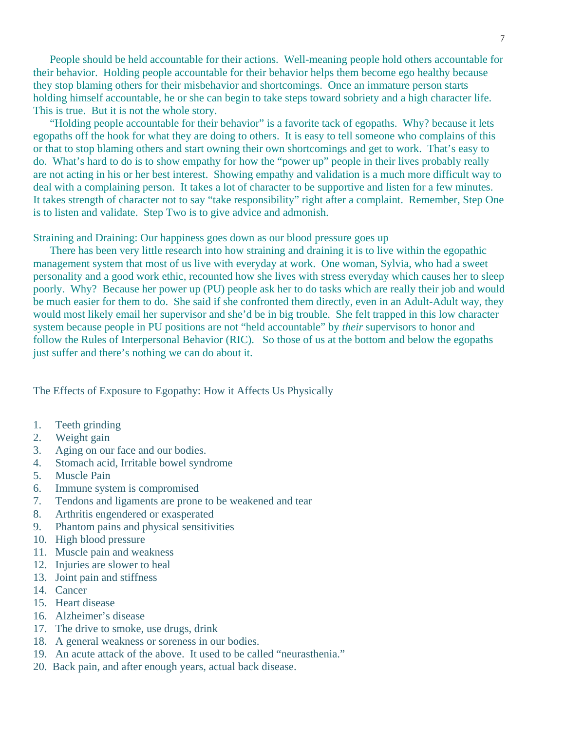People should be held accountable for their actions. Well-meaning people hold others accountable for their behavior. Holding people accountable for their behavior helps them become ego healthy because they stop blaming others for their misbehavior and shortcomings. Once an immature person starts holding himself accountable, he or she can begin to take steps toward sobriety and a high character life. This is true. But it is not the whole story.

 "Holding people accountable for their behavior" is a favorite tack of egopaths. Why? because it lets egopaths off the hook for what they are doing to others. It is easy to tell someone who complains of this or that to stop blaming others and start owning their own shortcomings and get to work. That's easy to do. What's hard to do is to show empathy for how the "power up" people in their lives probably really are not acting in his or her best interest. Showing empathy and validation is a much more difficult way to deal with a complaining person. It takes a lot of character to be supportive and listen for a few minutes. It takes strength of character not to say "take responsibility" right after a complaint. Remember, Step One is to listen and validate. Step Two is to give advice and admonish.

Straining and Draining: Our happiness goes down as our blood pressure goes up

 There has been very little research into how straining and draining it is to live within the egopathic management system that most of us live with everyday at work. One woman, Sylvia, who had a sweet personality and a good work ethic, recounted how she lives with stress everyday which causes her to sleep poorly. Why? Because her power up (PU) people ask her to do tasks which are really their job and would be much easier for them to do. She said if she confronted them directly, even in an Adult-Adult way, they would most likely email her supervisor and she'd be in big trouble. She felt trapped in this low character system because people in PU positions are not "held accountable" by *their* supervisors to honor and follow the Rules of Interpersonal Behavior (RIC). So those of us at the bottom and below the egopaths just suffer and there's nothing we can do about it.

The Effects of Exposure to Egopathy: How it Affects Us Physically

- 1. Teeth grinding
- 2. Weight gain
- 3. Aging on our face and our bodies.
- 4. Stomach acid, Irritable bowel syndrome
- 5. Muscle Pain
- 6. Immune system is compromised
- 7. Tendons and ligaments are prone to be weakened and tear
- 8. Arthritis engendered or exasperated
- 9. Phantom pains and physical sensitivities
- 10. High blood pressure
- 11. Muscle pain and weakness
- 12. Injuries are slower to heal
- 13. Joint pain and stiffness
- 14. Cancer
- 15. Heart disease
- 16. Alzheimer's disease
- 17. The drive to smoke, use drugs, drink
- 18. A general weakness or soreness in our bodies.
- 19. An acute attack of the above. It used to be called "neurasthenia."
- 20. Back pain, and after enough years, actual back disease.